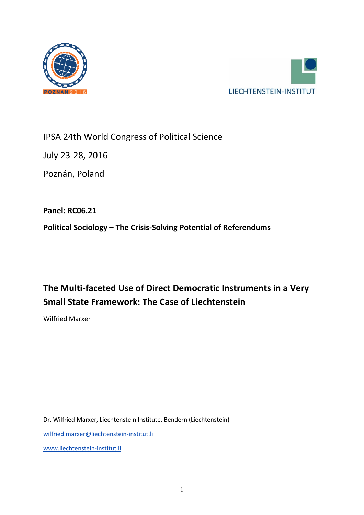



IPSA 24th World Congress of Political Science

July 23-28, 2016

Poznán, Poland

**Panel: RC06.21**

**Political Sociology – The Crisis-Solving Potential of Referendums**

# **The Multi-faceted Use of Direct Democratic Instruments in a Very Small State Framework: The Case of Liechtenstein**

Wilfried Marxer

Dr. Wilfried Marxer, Liechtenstein Institute, Bendern (Liechtenstein) [wilfried.marxer@liechtenstein-institut.li](mailto:wilfried.marxer@liechtenstein-institut.li) [www.liechtenstein-institut.li](http://www.liechtenstein-institut.li/)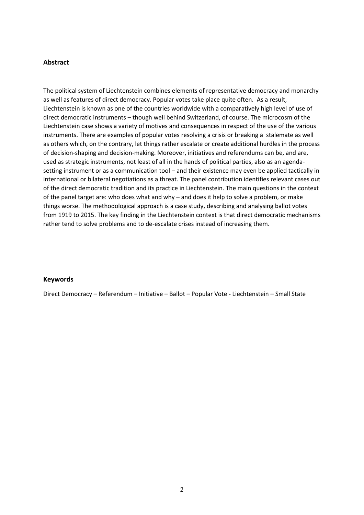#### **Abstract**

The political system of Liechtenstein combines elements of representative democracy and monarchy as well as features of direct democracy. Popular votes take place quite often. As a result, Liechtenstein is known as one of the countries worldwide with a comparatively high level of use of direct democratic instruments – though well behind Switzerland, of course. The microcosm of the Liechtenstein case shows a variety of motives and consequences in respect of the use of the various instruments. There are examples of popular votes resolving a crisis or breaking a stalemate as well as others which, on the contrary, let things rather escalate or create additional hurdles in the process of decision-shaping and decision-making. Moreover, initiatives and referendums can be, and are, used as strategic instruments, not least of all in the hands of political parties, also as an agendasetting instrument or as a communication tool – and their existence may even be applied tactically in international or bilateral negotiations as a threat. The panel contribution identifies relevant cases out of the direct democratic tradition and its practice in Liechtenstein. The main questions in the context of the panel target are: who does what and why – and does it help to solve a problem, or make things worse. The methodological approach is a case study, describing and analysing ballot votes from 1919 to 2015. The key finding in the Liechtenstein context is that direct democratic mechanisms rather tend to solve problems and to de-escalate crises instead of increasing them.

#### **Keywords**

Direct Democracy – Referendum – Initiative – Ballot – Popular Vote - Liechtenstein – Small State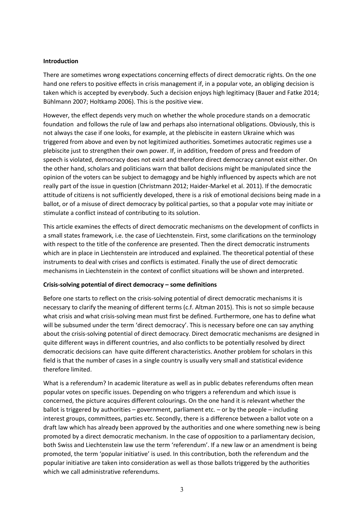## **Introduction**

There are sometimes wrong expectations concerning effects of direct democratic rights. On the one hand [one](http://de.pons.com/%C3%BCbersetzung/englisch-deutsch/one) [refers](http://de.pons.com/%C3%BCbersetzung/englisch-deutsch/refer) [to](http://de.pons.com/%C3%BCbersetzung/englisch-deutsch/to) [positive](http://de.pons.com/%C3%BCbersetzung/englisch-deutsch/positive) [effects](http://de.pons.com/%C3%BCbersetzung/englisch-deutsch/effects) [in](http://de.pons.com/%C3%BCbersetzung/englisch-deutsch/in) [crisis](http://de.pons.com/%C3%BCbersetzung/englisch-deutsch/crisis) [management](http://de.pons.com/%C3%BCbersetzung/englisch-deutsch/management) [if,](http://de.pons.com/%C3%BCbersetzung/englisch-deutsch/if) [in](http://de.pons.com/%C3%BCbersetzung/englisch-deutsch/in) [a](http://de.pons.com/%C3%BCbersetzung/englisch-deutsch/a) [popular](http://de.pons.com/%C3%BCbersetzung/englisch-deutsch/plebiscite) vote, [an](http://de.pons.com/%C3%BCbersetzung/englisch-deutsch/an) [obliging](http://de.pons.com/%C3%BCbersetzung/englisch-deutsch/obliging) decision is taken which is [accepted](http://de.pons.com/%C3%BCbersetzung/englisch-deutsch/accepted) by everybody. [Such](http://de.pons.com/%C3%BCbersetzung/englisch-deutsch/Such) [a](http://de.pons.com/%C3%BCbersetzung/englisch-deutsch/a) [decision](http://de.pons.com/%C3%BCbersetzung/englisch-deutsch/decision) [enjoys](http://de.pons.com/%C3%BCbersetzung/englisch-deutsch/enjoys) [high](http://de.pons.com/%C3%BCbersetzung/englisch-deutsch/high) [legitimacy](http://de.pons.com/%C3%BCbersetzung/englisch-deutsch/legitimacy) (Bauer and Fatke 2014; Bühlmann 2007; Holtkamp 2006). This is the positive view.

However, the effect depends very much on whether the whole procedure stands on a democratic foundation and follows the rule of law and perhaps also international obligations. Obviously, this is not always the case if one looks, for example, at the plebiscite in eastern Ukraine which was triggered from above and even by not legitimized authorities. Sometimes autocratic regimes use a plebiscite just to strengthen their own power. If, in addition, freedom of press and freedom of speech is violated, democracy does not exist and therefore direct democracy cannot exist either. On the other hand, scholars and politicians warn that ballot decisions might be manipulated since the opinion of the voters can be subject to demagogy and be highly influenced by aspects which are not really part of the issue in question (Christmann 2012; Haider-Markel et al. 2011). If the democratic attitude of citizens is not sufficiently developed, there is a risk of emotional decisions being made in a ballot, or of a misuse of direct democracy by political parties, so that a popular vote may initiate or stimulate a conflict instead of contributing to its solution.

This article examines the effects of direct democratic mechanisms on the development of conflicts in a small states framework, i.e. the case of Liechtenstein. First, some clarifications on the terminology with respect to the title of the conference are presented. Then the direct democratic instruments which are in place in Liechtenstein are introduced and explained. The theoretical potential of these instruments to deal with crises and conflicts is estimated. Finally the use of direct democratic mechanisms in Liechtenstein in the context of conflict situations will be shown and interpreted.

#### **Crisis-solving potential of direct democracy – some definitions**

Before one starts to reflect on the crisis-solving potential of direct democratic mechanisms it is necessary to clarify the meaning of different terms (c.f. Altman 2015). This is not so simple because what crisis and what crisis-solving mean must first be defined. Furthermore, one has to define what will be subsumed under the term 'direct democracy'. This is necessary before one can say anything about the crisis-solving potential of direct democracy. Direct democratic mechanisms are designed in quite different ways in different countries, and also conflicts to be potentially resolved by direct democratic decisions can have quite different characteristics. Another problem for scholars in this field is that the number of cases in a single country is usually very small and statistical evidence therefore limited.

What is a referendum? In academic literature as well as in public debates referendums often mean popular votes on specific issues. Depending on who triggers a referendum and which issue is concerned, the picture acquires different colourings. On the one hand it is relevant whether the ballot is triggered by authorities – government, parliament etc. – or by the people – including interest groups, committees, parties etc. Secondly, there is a difference between a ballot vote on a draft law which has already been approved by the authorities and one where something new is being promoted by a direct democratic mechanism. In the case of opposition to a parliamentary decision, both Swiss and Liechtenstein law use the term 'referendum'. If a new law or an amendment is being promoted, the term 'popular initiative' is used. In this contribution, both the referendum and the popular initiative are taken into consideration as well as those ballots triggered by the authorities which we call administrative referendums.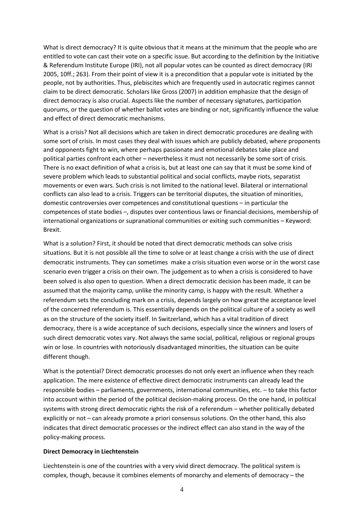What is direct democracy? It is quite obvious that it means at the minimum that the people who are entitled to vote can cast their vote on a specific issue. But according to the definition by the Initiative & Referendum Institute Europe (IRI), not all popular votes can be counted as direct democracy (IRI 2005, 10ff.; 263). From their point of view it is a precondition that a popular vote is initiated by the people, not by authorities. Thus, plebiscites which are frequently used in autocratic regimes cannot claim to be direct democratic. Scholars like Gross (2007) in addition emphasize that the design of direct democracy is also crucial. Aspects like the number of necessary signatures, participation quorums, or the question of whether ballot votes are binding or not, significantly influence the value and effect of direct democratic mechanisms.

What is a crisis? Not all decisions which are taken in direct democratic procedures are dealing with some sort of crisis. In most cases they deal with issues which are publicly debated, where proponents and opponents fight to win, where perhaps passionate and emotional debates take place and political parties confront each other – nevertheless it must not necessarily be some sort of crisis. There is no exact definition of what a crisis is, but at least one can say that it must be some kind of severe problem which leads to substantial political and social conflicts, maybe riots, separatist movements or even wars. Such crisis is not limited to the national level. Bilateral or international conflicts can also lead to a crisis. Triggers can be territorial disputes, the situation of minorities, domestic controversies over competences and constitutional questions – in particular the competences of state bodies –, disputes over contentious laws or financial decisions, membership of international organizations or supranational communities or exiting such communities – Keyword: Brexit.

What is a solution? First, it should be noted that direct democratic methods can solve crisis situations. But it is not possible all the time to solve or at least change a crisis with the use of direct democratic instruments. They can sometimes make a crisis situation even worse or in the worst case scenario even trigger a crisis on their own. The judgement as to when a crisis is considered to have been solved is also open to question. When a direct democratic decision has been made, it can be assumed that the majority camp, unlike the minority camp, is happy with the result. Whether a referendum sets the concluding mark on a crisis, depends largely on how great the acceptance level of the concerned referendum is. This essentially depends on the political culture of a society as well as on the structure of the society itself. In Switzerland, which has a vital tradition of direct democracy, there is a wide acceptance of such decisions, especially since the winners and losers of such direct democratic votes vary. Not always the same social, political, religious or regional groups win or lose. In countries with notoriously disadvantaged minorities, the situation can be quite different though.

What is the potential? Direct democratic processes do not only exert an influence when they reach application. The mere existence of effective direct democratic instruments can already lead the responsible bodies – parliaments, governments, international communities, etc. – to take this factor into account within the period of the political decision-making process. On the one hand, in political systems with strong direct democratic rights the risk of a referendum – whether politically debated explicitly or not – can already promote a priori consensus solutions. On the other hand, this also indicates that direct democratic processes or the indirect effect can also stand in the way of the policy-making process.

#### **Direct Democracy in Liechtenstein**

Liechtenstein is one of the countries with a very vivid direct democracy. The political system is complex, though, because it combines elements of monarchy and elements of democracy – the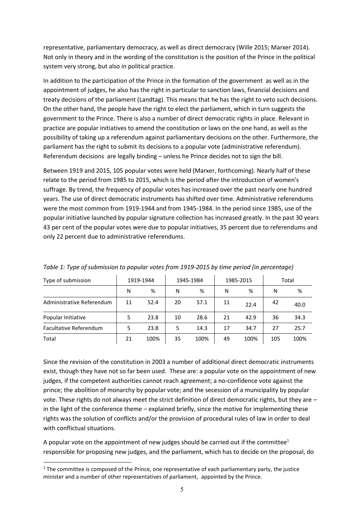representative, parliamentary democracy, as well as direct democracy (Wille 2015; Marxer 2014). Not only in theory and in the wording of the constitution is the position of the Prince in the political system very strong, but also in political practice.

In addition to the participation of the Prince in the formation of the government as well as in the appointment of judges, he also has the right in particular to sanction laws, financial decisions and treaty decisions of the parliament (Landtag). This means that he has the right to veto such decisions. On the other hand, the people have the right to elect the parliament, which in turn suggests the government to the Prince. There is also a number of direct democratic rights in place. Relevant in practice are popular initiatives to amend the constitution or laws on the one hand, as well as the possibility of taking up a referendum against parliamentary decisions on the other. Furthermore, the parliament has the right to submit its decisions to a popular vote (administrative referendum). Referendum decisions are legally binding – unless he Prince decides not to sign the bill.

Between 1919 and 2015, 105 popular votes were held (Marxer, forthcoming). Nearly half of these relate to the period from 1985 to 2015, which is the period after the introduction of women's suffrage. By trend, the frequency of popular votes has increased over the past nearly one hundred years. The use of direct democratic instruments has shifted over time. Administrative referendums were the most common from 1919-1944 and from 1945-1984. In the period since 1985, use of the popular initiative launched by popular signature collection has increased greatly. In the past 30 years 43 per cent of the popular votes were due to popular initiatives, 35 percent due to referendums and only 22 percent due to administrative referendums.

| Type of submission            | 1919-1944 |      | 1945-1984 |      | 1985-2015 |      | Total |      |
|-------------------------------|-----------|------|-----------|------|-----------|------|-------|------|
|                               | N         | %    | N         | %    | N         | %    | N     | %    |
| Administrative Referendum     | 11        | 52.4 | 20        | 57.1 | 11        | 22.4 | 42    | 40.0 |
| Popular Initiative            | 5         | 23.8 | 10        | 28.6 | 21        | 42.9 | 36    | 34.3 |
| <b>Facultative Referendum</b> | 5         | 23.8 | 5         | 14.3 | 17        | 34.7 | 27    | 25.7 |
| Total                         | 21        | 100% | 35        | 100% | 49        | 100% | 105   | 100% |

*Table 1: Type of submission to popular votes from 1919-2015 by time period (in percentage)*

Since the revision of the constitution in 2003 a number of additional direct democratic instruments exist, though they have not so far been used. These are: a popular vote on the appointment of new judges, if the competent authorities cannot reach agreement; a no-confidence vote against the prince; the abolition of monarchy by popular vote; and the secession of a municipality by popular vote. These rights do not always meet the strict definition of direct democratic rights, but they are – in the light of the conference theme – explained briefly, since the motive for implementing these rights was the solution of conflicts and/or the provision of procedural rules of law in order to deal with conflictual situations.

A popular vote on the appointment of new judges should be carried out if the committee<sup>1</sup> responsible for proposing new judges, and the parliament, which has to decide on the proposal, do

<sup>&</sup>lt;sup>1</sup> The committee is composed of the Prince, one representative of each parliamentary party, the justice minister and a number of other representatives of parliament, appointed by the Prince.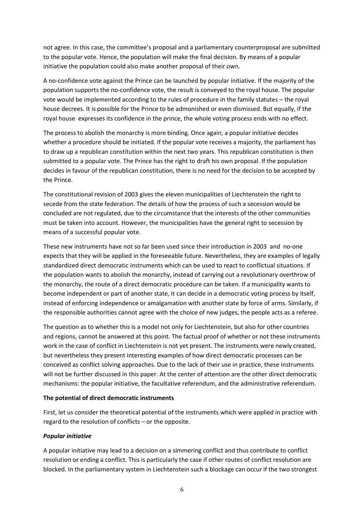not agree. In this case, the committee's proposal and a parliamentary counterproposal are submitted to the popular vote. Hence, the population will make the final decision. By means of a popular initiative the population could also make another proposal of their own.

A no-confidence vote against the Prince can be launched by popular initiative. If the majority of the population supports the no-confidence vote, the result is conveyed to the royal house. The popular vote would be implemented according to the rules of procedure in the family statutes – the royal house decrees. It is possible for the Prince to be admonished or even dismissed. But equally, if the royal house expresses its confidence in the prince, the whole voting process ends with no effect.

The process to abolish the monarchy is more binding. Once again, a popular initiative decides whether a procedure should be initiated. If the popular vote receives a majority, the parliament has to draw up a republican constitution within the next two years. This republican constitution is then submitted to a popular vote. The Prince has the right to draft his own proposal. If the population decides in favour of the republican constitution, there is no need for the decision to be accepted by the Prince.

The constitutional revision of 2003 gives the eleven municipalities of Liechtenstein the right to secede from the state federation. The details of how the process of such a secession would be concluded are not regulated, due to the circumstance that the interests of the other communities must be taken into account. However, the municipalities have the general right to secession by means of a successful popular vote.

These new instruments have not so far been used since their introduction in 2003 and no-one expects that they will be applied in the foreseeable future. Nevertheless, they are examples of legally standardized direct democratic instruments which can be used to react to conflictual situations. If the population wants to abolish the monarchy, instead of carrying out a revolutionary overthrow of the monarchy, the route of a direct democratic procedure can be taken. If a municipality wants to become independent or part of another state, it can decide in a democratic voting process by itself, instead of enforcing independence or amalgamation with another state by force of arms. Similarly, if the responsible authorities cannot agree with the choice of new judges, the people acts as a referee.

The question as to whether this is a model not only for Liechtenstein, but also for other countries and regions, cannot be answered at this point. The factual proof of whether or not these instruments work in the case of conflict in Liechtenstein is not yet present. The instruments were newly created, but nevertheless they present interesting examples of how direct democratic processes can be conceived as conflict solving approaches. Due to the lack of their use in practice, these instruments will not be further discussed in this paper. At the center of attention are the other direct democratic mechanisms: the popular initiative, the facultative referendum, and the administrative referendum.

# **The potential of direct democratic instruments**

First, let us consider the theoretical potential of the instruments which were applied in practice with regard to the resolution of conflicts – or the opposite.

# *Popular initiative*

A popular initiative may lead to a decision on a simmering conflict and thus contribute to conflict resolution or ending a conflict. This is particularly the case if other routes of conflict resolution are blocked. In the parliamentary system in Liechtenstein such a blockage can occur if the two strongest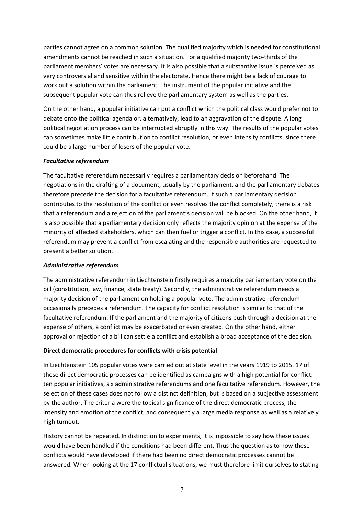parties cannot agree on a common solution. The qualified majority which is needed for constitutional amendments cannot be reached in such a situation. For a qualified majority two-thirds of the parliament members' votes are necessary. It is also possible that a substantive issue is perceived as very controversial and sensitive within the electorate. Hence there might be a lack of courage to work out a solution within the parliament. The instrument of the popular initiative and the subsequent popular vote can thus relieve the parliamentary system as well as the parties.

On the other hand, a popular initiative can put a conflict which the political class would prefer not to debate onto the political agenda or, alternatively, lead to an aggravation of the dispute. A long political negotiation process can be interrupted abruptly in this way. The results of the popular votes can sometimes make little contribution to conflict resolution, or even intensify conflicts, since there could be a large number of losers of the popular vote.

## *Facultative referendum*

The facultative referendum necessarily requires a parliamentary decision beforehand. The negotiations in the drafting of a document, usually by the parliament, and the parliamentary debates therefore precede the decision for a facultative referendum. If such a parliamentary decision contributes to the resolution of the conflict or even resolves the conflict completely, there is a risk that a referendum and a rejection of the parliament's decision will be blocked. On the other hand, it is also possible that a parliamentary decision only reflects the majority opinion at the expense of the minority of affected stakeholders, which can then fuel or trigger a conflict. In this case, a successful referendum may prevent a conflict from escalating and the responsible authorities are requested to present a better solution.

#### *Administrative referendum*

The administrative referendum in Liechtenstein firstly requires a majority parliamentary vote on the bill (constitution, law, finance, state treaty). Secondly, the administrative referendum needs a majority decision of the parliament on holding a popular vote. The administrative referendum occasionally precedes a referendum. The capacity for conflict resolution is similar to that of the facultative referendum. If the parliament and the majority of citizens push through a decision at the expense of others, a conflict may be exacerbated or even created. On the other hand, either approval or rejection of a bill can settle a conflict and establish a broad acceptance of the decision.

# **Direct democratic procedures for conflicts with crisis potential**

In Liechtenstein 105 popular votes were carried out at state level in the years 1919 to 2015. 17 of these direct democratic processes can be identified as campaigns with a high potential for conflict: ten popular initiatives, six administrative referendums and one facultative referendum. However, the selection of these cases does not follow a distinct definition, but is based on a subjective assessment by the author. The criteria were the topical significance of the direct democratic process, the intensity and emotion of the conflict, and consequently a large media response as well as a relatively high turnout.

History cannot be repeated. In distinction to experiments, it is impossible to say how these issues would have been handled if the conditions had been different. Thus the question as to how these conflicts would have developed if there had been no direct democratic processes cannot be answered. When looking at the 17 conflictual situations, we must therefore limit ourselves to stating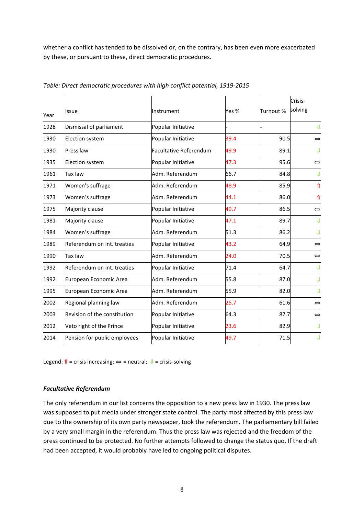whether a conflict has tended to be dissolved or, on the contrary, has been even more exacerbated by these, or pursuant to these, direct democratic procedures.

| Year | llssue                       | Instrument                    | Yes % | Turnout % | Crisis-<br>solving |
|------|------------------------------|-------------------------------|-------|-----------|--------------------|
| 1928 | Dismissal of parliament      | Popular Initiative            |       |           | $\mathbf{J}$       |
| 1930 | Election system              | Popular Initiative            | 39.4  | 90.5      | $\Leftrightarrow$  |
| 1930 | Press law                    | <b>Facultative Referendum</b> | 49.9  | 89.1      | ₩                  |
| 1935 | Election system              | Popular Initiative            | 47.3  | 95.6      | $\Leftrightarrow$  |
| 1961 | Tax law                      | Adm. Referendum               | 66.7  | 84.8      | ₩                  |
| 1971 | Women's suffrage             | Adm. Referendum               | 48.9  | 85.9      | ⇑                  |
| 1973 | Women's suffrage             | Adm. Referendum               | 44.1  | 86.0      | $\hat{\mathbb{T}}$ |
| 1975 | Majority clause              | Popular Initiative            | 49.7  | 86.5      | $\Leftrightarrow$  |
| 1981 | Majority clause              | Popular Initiative            | 47.1  | 89.7      | ⇓                  |
| 1984 | Women's suffrage             | Adm. Referendum               | 51.3  | 86.2      | $_{\rm 1L}$        |
| 1989 | Referendum on int. treaties  | Popular Initiative            | 43.2  | 64.9      | $\Leftrightarrow$  |
| 1990 | Tax law                      | Adm. Referendum               | 24.0  | 70.5      | $\Leftrightarrow$  |
| 1992 | Referendum on int. treaties  | Popular Initiative            | 71.4  | 64.7      | ⇓                  |
| 1992 | European Economic Area       | Adm. Referendum               | 55.8  | 87.0      | $_{\text{II}}$     |
| 1995 | European Economic Area       | Adm. Referendum               | 55.9  | 82.0      | $\mathbf{J}$       |
| 2002 | Regional planning law        | Adm. Referendum               | 25.7  | 61.6      | $\Leftrightarrow$  |
| 2003 | Revision of the constitution | Popular Initiative            | 64.3  | 87.7      | $\Leftrightarrow$  |
| 2012 | Veto right of the Prince     | Popular Initiative            | 23.6  | 82.9      | $\mathbf{J}$       |
| 2014 | Pension for public employees | Popular Initiative            | 49.7  | 71.5      | $\bigcup \limits$  |

#### *Table: Direct democratic procedures with high conflict potential, 1919-2015*

Legend:  $\hat{\mathbf{n}}$  = crisis increasing;  $\Leftrightarrow$  = neutral;  $\mathbf{\Psi}$  = crisis-solving

#### *Facultative Referendum*

The only referendum in our list concerns the opposition to a new press law in 1930. The press law was supposed to put media under stronger state control. The party most affected by this press law due to the ownership of its own party newspaper, took the referendum. The parliamentary bill failed by a very small margin in the referendum. Thus the press law was rejected and the freedom of the press continued to be protected. No further attempts followed to change the status quo. If the draft had been accepted, it would probably have led to ongoing political disputes.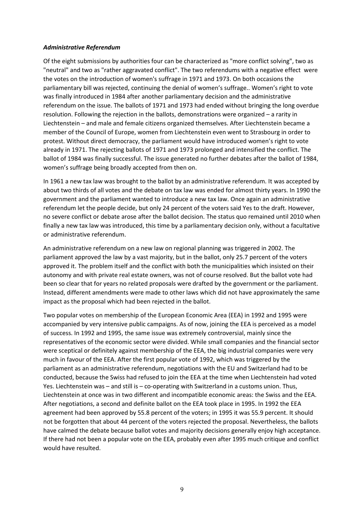#### *Administrative Referendum*

Of the eight submissions by authorities four can be characterized as "more conflict solving", two as "neutral" and two as "rather aggravated conflict". The two referendums with a negative effect were the votes on the introduction of women's suffrage in 1971 and 1973. On both occasions the parliamentary bill was rejected, continuing the denial of women's suffrage.. Women's right to vote was finally introduced in 1984 after another parliamentary decision and the administrative referendum on the issue. The ballots of 1971 and 1973 had ended without bringing the long overdue resolution. Following the rejection in the ballots, demonstrations were organized – a rarity in Liechtenstein – and male and female citizens organized themselves. After Liechtenstein became a member of the Council of Europe, women from Liechtenstein even went to Strasbourg in order to protest. Without direct democracy, the parliament would have introduced women's right to vote already in 1971. The rejecting ballots of 1971 and 1973 prolonged and intensified the conflict. The ballot of 1984 was finally successful. The issue generated no further debates after the ballot of 1984, women's suffrage being broadly accepted from then on.

In 1961 a new tax law was brought to the ballot by an administrative referendum. It was accepted by about two thirds of all votes and the debate on tax law was ended for almost thirty years. In 1990 the government and the parliament wanted to introduce a new tax law. Once again an administrative referendum let the people decide, but only 24 percent of the voters said Yes to the draft. However, no severe conflict or debate arose after the ballot decision. The status quo remained until 2010 when finally a new tax law was introduced, this time by a parliamentary decision only, without a facultative or administrative referendum.

An administrative referendum on a new law on regional planning was triggered in 2002. The parliament approved the law by a vast majority, but in the ballot, only 25.7 percent of the voters approved it. The problem itself and the conflict with both the municipalities which insisted on their autonomy and with private real estate owners, was not of course resolved. But the ballot vote had been so clear that for years no related proposals were drafted by the government or the parliament. Instead, different amendments were made to other laws which did not have approximately the same impact as the proposal which had been rejected in the ballot.

Two popular votes on membership of the European Economic Area (EEA) in 1992 and 1995 were accompanied by very intensive public campaigns. As of now, joining the EEA is perceived as a model of success. In 1992 and 1995, the same issue was extremely controversial, mainly since the representatives of the economic sector were divided. While small companies and the financial sector were sceptical or definitely against membership of the EEA, the big industrial companies were very much in favour of the EEA. After the first popular vote of 1992, which was triggered by the parliament as an administrative referendum, negotiations with the EU and Switzerland had to be conducted, because the Swiss had refused to join the EEA at the time when Liechtenstein had voted Yes. Liechtenstein was – and still is – co-operating with Switzerland in a customs union. Thus, Liechtenstein at once was in two different and incompatible economic areas: the Swiss and the EEA. After negotiations, a second and definite ballot on the EEA took place in 1995. In 1992 the EEA agreement had been approved by 55.8 percent of the voters; in 1995 it was 55.9 percent. It should not be forgotten that about 44 percent of the voters rejected the proposal. Nevertheless, the ballots have calmed the debate because ballot votes and majority decisions generally enjoy high acceptance. If there had not been a popular vote on the EEA, probably even after 1995 much critique and conflict would have resulted.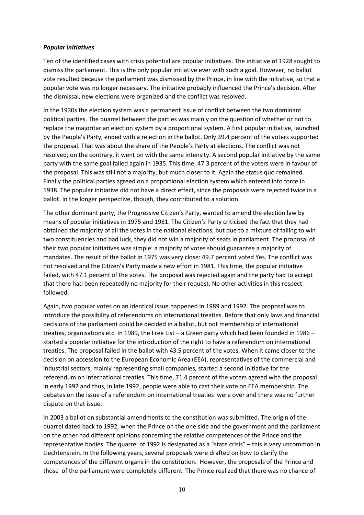#### *Popular initiatives*

Ten of the identified cases with crisis potential are popular initiatives. The initiative of 1928 sought to dismiss the parliament. This is the only popular initiative ever with such a goal. However, no ballot vote resulted because the parliament was dismissed by the Prince, in line with the initiative, so that a popular vote was no longer necessary. The initiative probably influenced the Prince's decision. After the dismissal, new elections were organized and the conflict was resolved.

In the 1930s the election system was a permanent issue of conflict between the two dominant political parties. The quarrel between the parties was mainly on the question of whether or not to replace the majoritarian election system by a proportional system. A first popular initiative, launched by the People's Party, ended with a rejection in the ballot. Only 39.4 percent of the voters supported the proposal. That was about the share of the People's Party at elections. The conflict was not resolved; on the contrary, it went on with the same intensity. A second popular initiative by the same party with the same goal failed again in 1935. This time, 47.3 percent of the voters were in favour of the proposal. This was still not a majority, but much closer to it. Again the status quo remained. Finally the political parties agreed on a proportional election system which entered into force in 1938. The popular initiative did not have a direct effect, since the proposals were rejected twice in a ballot. In the longer perspective, though, they contributed to a solution.

The other dominant party, the Progressive Citizen's Party, wanted to amend the election law by means of popular initiatives in 1975 and 1981. The Citizen's Party criticised the fact that they had obtained the majority of all the votes in the national elections, but due to a mixture of failing to win two constituencies and bad luck, they did not win a majority of seats in parliament. The proposal of their two popular initiatives was simple: a majority of votes should guarantee a majority of mandates. The result of the ballot in 1975 was very close: 49.7 percent voted Yes. The conflict was not resolved and the Citizen's Party made a new effort in 1981. This time, the popular initiative failed, with 47.1 percent of the votes. The proposal was rejected again and the party had to accept that there had been repeatedly no majority for their request. No other activities in this respect followed.

Again, two popular votes on an identical issue happened in 1989 and 1992. The proposal was to introduce the possibility of referendums on international treaties. Before that only laws and financial decisions of the parliament could be decided in a ballot, but not membership of international treaties, organisations etc. In 1989, the Free List – a Green party which had been founded in 1986 – started a popular initiative for the introduction of the right to have a referendum on international treaties. The proposal failed in the ballot with 43.5 percent of the votes. When it came closer to the decision on accession to the European Economic Area (EEA), representatives of the commercial and industrial sectors, mainly representing small companies, started a second initiative for the referendum on international treaties. This time, 71.4 percent of the voters agreed with the proposal in early 1992 and thus, in late 1992, people were able to cast their vote on EEA membership. The debates on the issue of a referendum on international treaties were over and there was no further dispute on that issue.

In 2003 a ballot on substantial amendments to the constitution was submitted. The origin of the quarrel dated back to 1992, when the Prince on the one side and the government and the parliament on the other had different opinions concerning the relative competences of the Prince and the representative bodies. The quarrel of 1992 is designated as a "state crisis" – this is very uncommon in Liechtenstein. In the following years, several proposals were drafted on how to clarify the competences of the different organs in the constitution. However, the proposals of the Prince and those of the parliament were completely different. The Prince realized that there was no chance of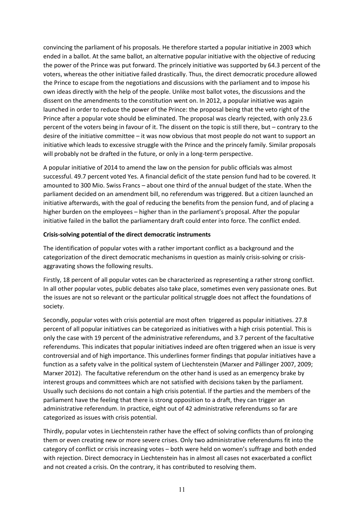convincing the parliament of his proposals. He therefore started a popular initiative in 2003 which ended in a ballot. At the same ballot, an alternative popular initiative with the objective of reducing the power of the Prince was put forward. The princely initiative was supported by 64.3 percent of the voters, whereas the other initiative failed drastically. Thus, the direct democratic procedure allowed the Prince to escape from the negotiations and discussions with the parliament and to impose his own ideas directly with the help of the people. Unlike most ballot votes, the discussions and the dissent on the amendments to the constitution went on. In 2012, a popular initiative was again launched in order to reduce the power of the Prince: the proposal being that the veto right of the Prince after a popular vote should be eliminated. The proposal was clearly rejected, with only 23.6 percent of the voters being in favour of it. The dissent on the topic is still there, but – contrary to the desire of the initiative committee – it was now obvious that most people do not want to support an initiative which leads to excessive struggle with the Prince and the princely family. Similar proposals will probably not be drafted in the future, or only in a long-term perspective.

A popular initiative of 2014 to amend the law on the pension for public officials was almost successful. 49.7 percent voted Yes. A financial deficit of the state pension fund had to be covered. It amounted to 300 Mio. Swiss Francs – about one third of the annual budget of the state. When the parliament decided on an amendment bill, no referendum was triggered. But a citizen launched an initiative afterwards, with the goal of reducing the benefits from the pension fund, and of placing a higher burden on the employees – higher than in the parliament's proposal. After the popular initiative failed in the ballot the parliamentary draft could enter into force. The conflict ended.

## **Crisis-solving potential of the direct democratic instruments**

The identification of popular votes with a rather important conflict as a background and the categorization of the direct democratic mechanisms in question as mainly crisis-solving or crisisaggravating shows the following results.

Firstly, 18 percent of all popular votes can be characterized as representing a rather strong conflict. In all other popular votes, public debates also take place, sometimes even very passionate ones. But the issues are not so relevant or the particular political struggle does not affect the foundations of society.

Secondly, popular votes with crisis potential are most often triggered as popular initiatives. 27.8 percent of all popular initiatives can be categorized as initiatives with a high crisis potential. This is only the case with 19 percent of the administrative referendums, and 3.7 percent of the facultative referendums. This indicates that popular initiatives indeed are often triggered when an issue is very controversial and of high importance. This underlines former findings that popular initiatives have a function as a safety valve in the political system of Liechtenstein (Marxer and Pállinger 2007, 2009; Marxer 2012). The facultative referendum on the other hand is used as an emergency brake by interest groups and committees which are not satisfied with decisions taken by the parliament. Usually such decisions do not contain a high crisis potential. If the parties and the members of the parliament have the feeling that there is strong opposition to a draft, they can trigger an administrative referendum. In practice, eight out of 42 administrative referendums so far are categorized as issues with crisis potential.

Thirdly, popular votes in Liechtenstein rather have the effect of solving conflicts than of prolonging them or even creating new or more severe crises. Only two administrative referendums fit into the category of conflict or crisis increasing votes – both were held on women's suffrage and both ended with rejection. Direct democracy in Liechtenstein has in almost all cases not exacerbated a conflict and not created a crisis. On the contrary, it has contributed to resolving them.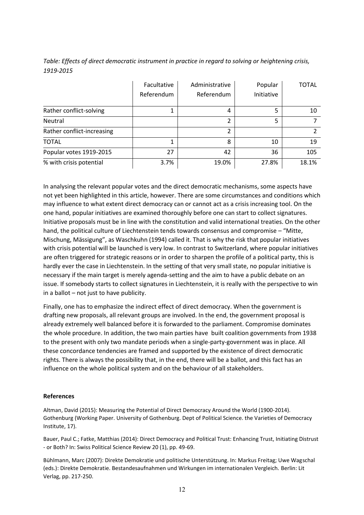*Table: Effects of direct democratic instrument in practice in regard to solving or heightening crisis, 1919-2015*

|                            | Facultative<br>Referendum | Administrative<br>Referendum | Popular<br>Initiative | <b>TOTAL</b> |
|----------------------------|---------------------------|------------------------------|-----------------------|--------------|
| Rather conflict-solving    |                           | 4                            | 5                     | 10           |
| Neutral                    |                           | 2                            | 5                     |              |
| Rather conflict-increasing |                           | 2                            |                       |              |
| <b>TOTAL</b>               |                           | 8                            | 10                    | 19           |
| Popular votes 1919-2015    | 27                        | 42                           | 36                    | 105          |
| % with crisis potential    | 3.7%                      | 19.0%                        | 27.8%                 | 18.1%        |

In analysing the relevant popular votes and the direct democratic mechanisms, some aspects have not yet been highlighted in this article, however. There are some circumstances and conditions which may influence to what extent direct democracy can or cannot act as a crisis increasing tool. On the one hand, popular initiatives are examined thoroughly before one can start to collect signatures. Initiative proposals must be in line with the constitution and valid international treaties. On the other hand, the political culture of Liechtenstein tends towards consensus and compromise – "Mitte, Mischung, Mässigung", as Waschkuhn (1994) called it. That is why the risk that popular initiatives with crisis potential will be launched is very low. In contrast to Switzerland, where popular initiatives are often triggered for strategic reasons or in order to sharpen the profile of a political party, this is hardly ever the case in Liechtenstein. In the setting of that very small state, no popular initiative is necessary if the main target is merely agenda-setting and the aim to have a public debate on an issue. If somebody starts to collect signatures in Liechtenstein, it is really with the perspective to win in a ballot – not just to have publicity.

Finally, one has to emphasize the indirect effect of direct democracy. When the government is drafting new proposals, all relevant groups are involved. In the end, the government proposal is already extremely well balanced before it is forwarded to the parliament. Compromise dominates the whole procedure. In addition, the two main parties have built coalition governments from 1938 to the present with only two mandate periods when a single-party-government was in place. All these concordance tendencies are framed and supported by the existence of direct democratic rights. There is always the possibility that, in the end, there will be a ballot, and this fact has an influence on the whole political system and on the behaviour of all stakeholders.

#### **References**

Altman, David (2015): Measuring the Potential of Direct Democracy Around the World (1900-2014). Gothenburg (Working Paper. University of Gothenburg. Dept of Political Science. the Varieties of Democracy Institute, 17).

Bauer, Paul C.; Fatke, Matthias (2014): Direct Democracy and Political Trust: Enhancing Trust, Initiating Distrust - or Both? In: Swiss Political Science Review 20 (1), pp. 49-69.

Bühlmann, Marc (2007): Direkte Demokratie und politische Unterstützung. In: Markus Freitag; Uwe Wagschal (eds.): Direkte Demokratie. Bestandesaufnahmen und Wirkungen im internationalen Vergleich. Berlin: Lit Verlag, pp. 217-250.